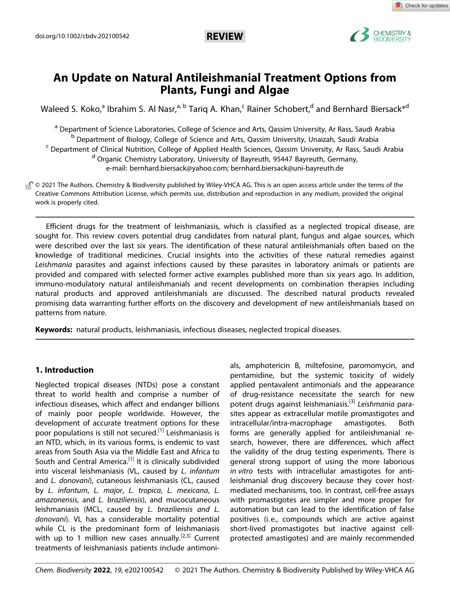

# **An Update on Natural Antileishmanial Treatment Options from Plants, Fungi and Algae**

[Waleed](http://orcid.org/0000-0002-7773-995X) S. Koko,<sup>a</sup> [Ibrahim](http://orcid.org/0000-0003-4690-1050) S. Al Nasr,<sup>a, b</sup> Tariq A. Khan,<sup>c</sup> Rainer [Schobert,](http://orcid.org/0000-0002-8413-4342)<sup>d</sup> and [Bernhard](http://orcid.org/0000-0001-7305-346X) Biersack<sup>\*d</sup>

<sup>a</sup> Department of Science Laboratories, College of Science and Arts, Qassim University, Ar Rass, Saudi Arabia <sup>b</sup> Department of Biology, College of Science and Arts, Qassim University, Unaizah, Saudi Arabia <sup>c</sup> Department of Clinical Nutrition, College of Applied Health Sciences, Qassim University, Ar Rass, Saudi Arabia <sup>d</sup> Organic Chemistry Laboratory, University of Bayreuth, 95447 Bayreuth, Germany, e-mail: bernhard.biersack@yahoo.com; bernhard.biersack@uni-bayreuth.de

<sub>®</sub> © 2021 The Authors. Chemistry & Biodiversity published by Wiley-VHCA AG. This is an open access article under the terms of the Creative Commons Attribution License, which permits use, distribution and reproduction in any medium, provided the original work is properly cited.

Efficient drugs for the treatment of leishmaniasis, which is classified as a neglected tropical disease, are sought for. This review covers potential drug candidates from natural plant, fungus and algae sources, which were described over the last six years. The identification of these natural antileishmanials often based on the knowledge of traditional medicines. Crucial insights into the activities of these natural remedies against *Leishmania* parasites and against infections caused by these parasites in laboratory animals or patients are provided and compared with selected former active examples published more than six years ago. In addition, immuno-modulatory natural antileishmanials and recent developments on combination therapies including natural products and approved antileishmanials are discussed. The described natural products revealed promising data warranting further efforts on the discovery and development of new antileishmanials based on patterns from nature.

**Keywords:** natural products, leishmaniasis, infectious diseases, neglected tropical diseases.

# **1. Introduction**

Neglected tropical diseases (NTDs) pose a constant threat to world health and comprise a number of infectious diseases, which affect and endanger billions of mainly poor people worldwide. However, the development of accurate treatment options for these poor populations is still not secured.<sup>[1]</sup> Leishmaniasis is an NTD, which, in its various forms, is endemic to vast areas from South Asia via the Middle East and Africa to South and Central America.<sup>[1]</sup> It is clinically subdivided into visceral leishmaniasis (VL, caused by *L. infantum* and *L. donovani*), cutaneous leishmaniasis (CL, caused by *L. infantum*, *L. major*, *L. tropica*, *L. mexicana*, *L. amazonensis*, and *L. braziliensis*), and mucocutaneous leishmaniasis (MCL, caused by *L. braziliensis and L. donovani*). VL has a considerable mortality potential while CL is the predominant form of leishmaniasis with up to 1 million new cases annually.<sup>[2,3]</sup> Current treatments of leishmaniasis patients include antimoni-

als, amphotericin B, miltefosine, paromomycin, and pentamidine, but the systemic toxicity of widely applied pentavalent antimonials and the appearance of drug-resistance necessitate the search for new potent drugs against leishmaniasis.[3] *Leishmania* parasites appear as extracellular motile promastigotes and intracellular/intra-macrophage amastigotes. Both forms are generally applied for antileishmanial research, however, there are differences, which affect the validity of the drug testing experiments. There is general strong support of using the more laborious *in vitro* tests with intracellular amastigotes for antileishmanial drug discovery because they cover hostmediated mechanisms, too. In contrast, cell-free assays with promastigotes are simpler and more proper for automation but can lead to the identification of false positives (i.e., compounds which are active against short-lived promastigotes but inactive against cellprotected amastigotes) and are mainly recommended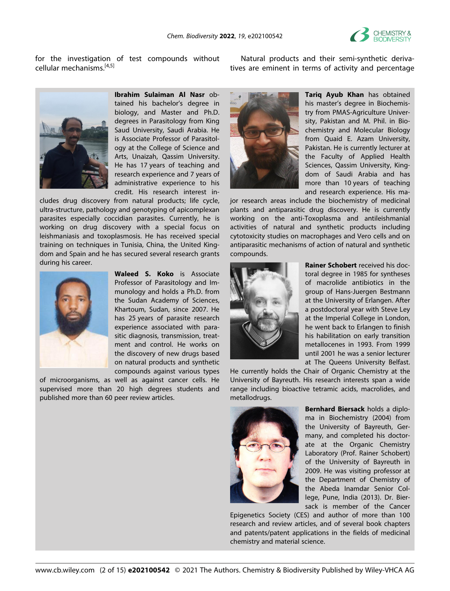

for the investigation of test compounds without cellular mechanisms.[4,5]

Natural products and their semi-synthetic derivatives are eminent in terms of activity and percentage



**Ibrahim Sulaiman Al Nasr** obtained his bachelor's degree in biology, and Master and Ph.D. degrees in Parasitology from King Saud University, Saudi Arabia. He is Associate Professor of Parasitology at the College of Science and Arts, Unaizah, Qassim University. He has 17 years of teaching and research experience and 7 years of administrative experience to his credit. His research interest in-

cludes drug discovery from natural products; life cycle, ultra-structure, pathology and genotyping of apicomplexan parasites especially coccidian parasites. Currently, he is working on drug discovery with a special focus on leishmaniasis and toxoplasmosis. He has received special training on techniques in Tunisia, China, the United Kingdom and Spain and he has secured several research grants during his career.



**Waleed S. Koko** is Associate Professor of Parasitology and Immunology and holds a Ph.D. from the Sudan Academy of Sciences, Khartoum, Sudan, since 2007. He has 25 years of parasite research experience associated with parasitic diagnosis, transmission, treatment and control. He works on the discovery of new drugs based on natural products and synthetic compounds against various types

of microorganisms, as well as against cancer cells. He supervised more than 20 high degrees students and published more than 60 peer review articles.



**Tariq Ayub Khan** has obtained his master's degree in Biochemistry from PMAS-Agriculture University, Pakistan and M. Phil. in Biochemistry and Molecular Biology from Quaid E. Azam University, Pakistan. He is currently lecturer at the Faculty of Applied Health Sciences, Qassim University, Kingdom of Saudi Arabia and has more than 10 years of teaching and research experience. His ma-

jor research areas include the biochemistry of medicinal plants and antiparasitic drug discovery. He is currently working on the anti-Toxoplasma and antileishmanial activities of natural and synthetic products including cytotoxicity studies on macrophages and Vero cells and on antiparasitic mechanisms of action of natural and synthetic compounds.



**Rainer Schobert** received his doctoral degree in 1985 for syntheses of macrolide antibiotics in the group of Hans-Juergen Bestmann at the University of Erlangen. After a postdoctoral year with Steve Ley at the Imperial College in London, he went back to Erlangen to finish his habilitation on early transition metallocenes in 1993. From 1999 until 2001 he was a senior lecturer at The Queens University Belfast.

He currently holds the Chair of Organic Chemistry at the University of Bayreuth. His research interests span a wide range including bioactive tetramic acids, macrolides, and metallodrugs.



**Bernhard Biersack** holds a diploma in Biochemistry (2004) from the University of Bayreuth, Germany, and completed his doctorate at the Organic Chemistry Laboratory (Prof. Rainer Schobert) of the University of Bayreuth in 2009. He was visiting professor at the Department of Chemistry of the Abeda Inamdar Senior College, Pune, India (2013). Dr. Biersack is member of the Cancer

Epigenetics Society (CES) and author of more than 100 research and review articles, and of several book chapters and patents/patent applications in the fields of medicinal chemistry and material science.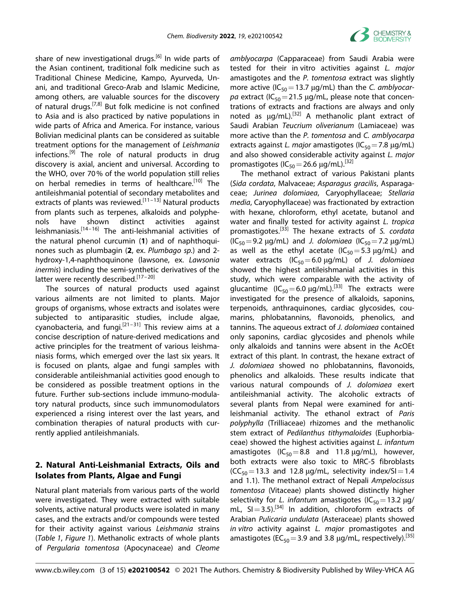

share of new investigational drugs.<sup>[6]</sup> In wide parts of the Asian continent, traditional folk medicine such as Traditional Chinese Medicine, Kampo, Ayurveda, Unani, and traditional Greco-Arab and Islamic Medicine, among others, are valuable sources for the discovery of natural drugs.[7,8] But folk medicine is not confined to Asia and is also practiced by native populations in wide parts of Africa and America. For instance, various Bolivian medicinal plants can be considered as suitable treatment options for the management of *Leishmania* infections.<sup>[9]</sup> The role of natural products in drug discovery is axial, ancient and universal. According to the WHO, over 70% of the world population still relies on herbal remedies in terms of healthcare.<sup>[10]</sup> The antileishmanial potential of secondary metabolites and extracts of plants was reviewed.<sup>[11–13]</sup> Natural products from plants such as terpenes, alkaloids and polyphenols have shown distinct activities against leishmaniasis.[14–16] The anti-leishmanial activities of the natural phenol curcumin (**1**) and of naphthoquinones such as plumbagin (**2**, ex. *Plumbago sp.*) and 2 hydroxy-1,4-naphthoquinone (lawsone, ex. *Lawsonia inermis*) including the semi-synthetic derivatives of the latter were recently described.<sup>[17-20]</sup>

The sources of natural products used against various ailments are not limited to plants. Major groups of organisms, whose extracts and isolates were subjected to antiparasitic studies, include algae, cyanobacteria, and fungi.<sup>[21–31]</sup> This review aims at a concise description of nature-derived medications and active principles for the treatment of various leishmaniasis forms, which emerged over the last six years. It is focused on plants, algae and fungi samples with considerable antileishmanial activities good enough to be considered as possible treatment options in the future. Further sub-sections include immuno-modulatory natural products, since such immunomodulators experienced a rising interest over the last years, and combination therapies of natural products with currently applied antileishmanials.

# **2. Natural Anti-Leishmanial Extracts, Oils and Isolates from Plants, Algae and Fungi**

Natural plant materials from various parts of the world were investigated. They were extracted with suitable solvents, active natural products were isolated in many cases, and the extracts and/or compounds were tested for their activity against various *Leishmania* strains (*Table 1*, *Figure 1*). Methanolic extracts of whole plants of *Pergularia tomentosa* (Apocynaceae) and *Cleome*

*amblyocarpa* (Capparaceae) from Saudi Arabia were tested for their in vitro activities against *L. major* amastigotes and the *P. tomentosa* extract was slightly more active (IC<sub>50</sub> = 13.7 μg/mL) than the *C. amblyocar*pa extract ( $IC_{50}$ =21.5  $\mu$ g/mL, please note that concentrations of extracts and fractions are always and only noted as  $\mu q/mL$ .<sup>[32]</sup> A methanolic plant extract of Saudi Arabian *Teucrium oliverianum* (Lamiaceae) was more active than the *P. tomentosa* and *C. amblyocarpa* extracts against *L. major* amastigotes (IC<sub>50</sub> = 7.8 μg/mL) and also showed considerable activity against *L. major* promastigotes ( $IC_{50}$  = 26.6  $\mu$ g/mL).<sup>[32]</sup>

The methanol extract of various Pakistani plants (*Sida cordata*, Malvaceae; *Asparagus gracilis*, Asparagaceae; *Jurinea dolomiaea*, Caryophyllaceae; *Stellaria media*, Caryophyllaceae) was fractionated by extraction with hexane, chloroform, ethyl acetate, butanol and water and finally tested for activity against *L. tropica* promastigotes.[33] The hexane extracts of *S. cordata*  $(IC_{50} = 9.2 \mu g/mL)$  and *J. dolomiaea*  $(IC_{50} = 7.2 \mu g/mL)$ as well as the ethyl acetate ( $IC_{50} = 5.3 \mu g/mL$ ) and water extracts (IC<sub>50</sub> = 6.0 μg/mL) of *J. dolomiaea* showed the highest antileishmanial activities in this study, which were comparable with the activity of glucantime (IC<sub>50</sub>=6.0  $\mu$ g/mL).<sup>[33]</sup> The extracts were investigated for the presence of alkaloids, saponins, terpenoids, anthraquinones, cardiac glycosides, coumarins, phlobatannins, flavonoids, phenolics, and tannins. The aqueous extract of *J. dolomiaea* contained only saponins, cardiac glycosides and phenols while only alkaloids and tannins were absent in the AcOEt extract of this plant. In contrast, the hexane extract of *J. dolomiaea* showed no phlobatannins, flavonoids, phenolics and alkaloids. These results indicate that various natural compounds of *J. dolomiaea* exert antileishmanial activity. The alcoholic extracts of several plants from Nepal were examined for antileishmanial activity. The ethanol extract of *Paris polyphylla* (Trilliaceae) rhizomes and the methanolic stem extract of *Pedilanthus tithymaloides* (Euphorbiaceae) showed the highest activities against *L. infantum* amastigotes (IC<sub>50</sub>=8.8 and 11.8  $\mu$ g/mL), however, both extracts were also toxic to MRC-5 fibroblasts  $(CC<sub>50</sub>=13.3$  and 12.8  $\mu$ g/mL, selectivity index/SI=1.4 and 1.1). The methanol extract of Nepali *Ampelocissus tomentosa* (Vitaceae) plants showed distinctly higher selectivity for *L. infantum* amastigotes (IC<sub>50</sub> = 13.2 μg/ mL,  $SI = 3.5$ ).<sup>[34]</sup> In addition, chloroform extracts of Arabian *Pulicaria undulata* (Asteraceae) plants showed *in vitro* activity against *L. major* promastigotes and amastigotes (EC<sub>50</sub> = 3.9 and 3.8  $\mu$ g/mL, respectively).<sup>[35]</sup>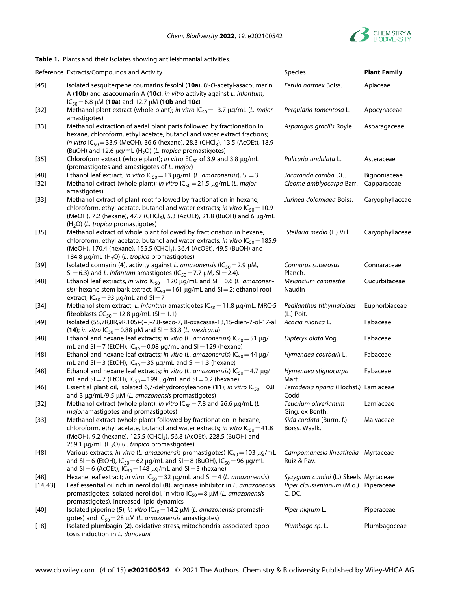

|                    | Reference Extracts/Compounds and Activity                                                                                                                                                                                                                                                                                              | Species                                                                                  | <b>Plant Family</b>         |
|--------------------|----------------------------------------------------------------------------------------------------------------------------------------------------------------------------------------------------------------------------------------------------------------------------------------------------------------------------------------|------------------------------------------------------------------------------------------|-----------------------------|
| $[45]$             | Isolated sesquiterpene coumarins fesolol (10a), 8'-O-acetyl-asacoumarin<br>A (10b) and asacoumarin A (10c); in vitro activity against L. infantum,<br>$IC_{50} = 6.8 \mu M$ (10a) and 12.7 $\mu$ M (10b and 10c)                                                                                                                       | Ferula narthex Boiss.                                                                    | Apiaceae                    |
| $[32]$             | Methanol plant extract (whole plant); in vitro $IC_{50} = 13.7 \mu g/mL$ (L. major<br>amastigotes)                                                                                                                                                                                                                                     | Pergularia tomentosa L.                                                                  | Apocynaceae                 |
| $[33]$             | Methanol extraction of aerial plant parts followed by fractionation in<br>hexane, chloroform, ethyl acetate, butanol and water extract fractions;<br>in vitro IC <sub>50</sub> = 33.9 (MeOH), 36.6 (hexane), 28.3 (CHCl <sub>3</sub> ), 13.5 (AcOEt), 18.9<br>(BuOH) and 12.6 $\mu$ g/mL (H <sub>2</sub> O) (L. tropica promastigotes) | Asparagus gracilis Royle                                                                 | Asparagaceae                |
| $[35]$             | Chloroform extract (whole plant); in vitro $EC_{50}$ of 3.9 and 3.8 $\mu$ g/mL<br>(promastigotes and amastigotes of L. major)                                                                                                                                                                                                          | Pulicaria undulata L.                                                                    | Asteraceae                  |
| $[48]$<br>$[32]$   | Ethanol leaf extract; in vitro $IC_{50} = 13 \mu g/mL$ ( <i>L. amazonensis</i> ), SI = 3<br>Methanol extract (whole plant); in vitro $IC_{50} = 21.5 \mu g/mL$ (L. major<br>amastigotes)                                                                                                                                               | Jacaranda caroba DC.<br>Cleome amblyocarpa Barr.                                         | Bignoniaceae<br>Capparaceae |
| $[33]$             | Methanol extract of plant root followed by fractionation in hexane,<br>chloroform, ethyl acetate, butanol and water extracts; in vitro $IC_{50} = 10.9$<br>(MeOH), 7.2 (hexane), 47.7 (CHCl <sub>3</sub> ), 5.3 (AcOEt), 21.8 (BuOH) and 6 µg/mL<br>$(H2O)$ (L. tropica promastigotes)                                                 | Jurinea dolomiaea Boiss.                                                                 | Caryophyllaceae             |
| $[35]$             | Methanol extract of whole plant followed by fractionation in hexane,<br>chloroform, ethyl acetate, butanol and water extracts; in vitro $IC_{50} = 185.9$<br>(MeOH), 170.4 (hexane), 155.5 (CHCl <sub>3</sub> ), 36.4 (AcOEt), 49.5 (BuOH) and<br>184.8 μg/mL (H <sub>2</sub> O) (L. tropica promastigotes)                            | Stellaria media (L.) Vill.                                                               | Caryophyllaceae             |
| $[39]$             | Isolated connarin (4), activity against L. amazonensis (IC <sub>50</sub> = 2.9 µM,<br>SI = 6.3) and L. infantum amastigotes (IC <sub>50</sub> = 7.7 µM, SI = 2.4).                                                                                                                                                                     | Connarus suberosus<br>Planch.                                                            | Connaraceae                 |
| $[48]$             | Ethanol leaf extracts, in vitro $IC_{50} = 120 \mu g/mL$ and SI = 0.6 (L. amazonen-<br>sis); hexane stem bark extract, $IC_{50} = 161 \mu g/mL$ and SI = 2; ethanol root<br>extract, $IC_{50} = 93$ µg/mL and SI = 7                                                                                                                   | Melancium campestre<br>Naudin                                                            | Cucurbitaceae               |
| $[34]$             | Methanol stem extract, L. infantum amastigotes $IC_{50} = 11.8 \mu g/mL$ , MRC-5<br>fibroblasts $CC_{50} = 12.8 \,\mu g/mL$ (SI = 1.1)                                                                                                                                                                                                 | Pedilanthus tithymaloides<br>(L.) Poit.                                                  | Euphorbiaceae               |
| [49]               | Isolated (5S,7R,8R,9R,10S)-(-)-7,8-seco-7, 8-oxacassa-13,15-dien-7-ol-17-al<br>(14); in vitro $IC_{50} = 0.88$ µM and SI = 33.8 (L. mexicana)                                                                                                                                                                                          | Acacia nilotica L.                                                                       | Fabaceae                    |
| $[48]$             | Ethanol and hexane leaf extracts; in vitro (L. amazonensis) $IC_{50} = 51 \mu g$ /<br>mL and SI = 7 (EtOH), IC <sub>50</sub> = 0.08 $\mu$ g/mL and SI = 129 (hexane)                                                                                                                                                                   | Dipteryx alata Vog.                                                                      | Fabaceae                    |
| $[48]$             | Ethanol and hexane leaf extracts; in vitro (L. amazonensis) $IC_{50} = 44 \mu g$ /<br>mL and SI = 3 (EtOH), $IC_{50} = 35 \mu g/mL$ and SI = 1.3 (hexane)                                                                                                                                                                              | Hymenaea courbaril L.                                                                    | Fabaceae                    |
| $[48]$             | Ethanol and hexane leaf extracts; in vitro (L. amazonensis) $IC_{50} = 4.7 \mu g/$<br>mL and SI = 7 (EtOH), $IC_{50} = 199$ $\mu$ g/mL and SI = 0.2 (hexane)                                                                                                                                                                           | Hymenaea stignocarpa<br>Mart.                                                            | Fabaceae                    |
| $[46]$             | Essential plant oil, isolated 6,7-dehydroroyleanone (11); in vitro $IC_{50} = 0.8$<br>and 3 µg/mL/9.5 µM (L. amazonensis promastigotes)                                                                                                                                                                                                | Tetradenia riparia (Hochst.) Lamiaceae<br>Codd                                           |                             |
| $[32]$             | Methanol extract (whole plant): in vitro $IC_{50} = 7.8$ and 26.6 $\mu$ g/mL (L.<br>major amastigotes and promastigotes)                                                                                                                                                                                                               | Teucrium oliverianum<br>Ging. ex Benth.                                                  | Lamiaceae                   |
| $[33]$             | Methanol extract (whole plant) followed by fractionation in hexane,<br>chloroform, ethyl acetate, butanol and water extracts; in vitro $IC_{50} = 41.8$<br>(MeOH), 9.2 (hexane), 125.5 (CHCl <sub>3</sub> ), 56.8 (AcOEt), 228.5 (BuOH) and<br>259.1 µg/mL (H <sub>2</sub> O) (L. tropica promastigotes)                               | Sida cordata (Burm. f.)<br>Borss. Waalk.                                                 | Malvaceae                   |
| $[48]$             | Various extracts; in vitro (L. amazonensis promastigotes) $IC_{50} = 103 \mu g/mL$<br>and SI = 6 (EtOH), IC <sub>50</sub> = 62 µg/mL and SI = 8 (BuOH), IC <sub>50</sub> = 96 µg/mL<br>and SI = 6 (AcOEt), $IC_{50}$ = 148 $\mu$ g/mL and SI = 3 (hexane)                                                                              | Campomanesia lineatifolia Myrtaceae<br>Ruiz & Pav.                                       |                             |
| $[48]$<br>[14, 43] | Hexane leaf extract; in vitro $IC_{50} = 32 \mu g/mL$ and SI = 4 (L. amazonensis)<br>Leaf essential oil rich in nerolidol (8), arginase inhibitor in L. amazonensis<br>promastigotes; isolated nerolidol, in vitro $IC_{50} = 8 \mu M$ (L. amazonensis<br>promastigotes), increased lipid dynamics                                     | Syzygium cumini (L.) Skeels Myrtaceae<br>Piper claussenianum (Miq.) Piperaceae<br>C. DC. |                             |
| $[40]$             | Isolated piperine (5); in vitro $IC_{50} = 14.2 \mu M$ (L. amazonensis promasti-<br>gotes) and $IC_{50} = 28 \mu M$ (L. amazonensis amastigotes)                                                                                                                                                                                       | Piper nigrum L.                                                                          | Piperaceae                  |
| $[18]$             | Isolated plumbagin (2), oxidative stress, mitochondria-associated apop-<br>tosis induction in L. donovani                                                                                                                                                                                                                              | Plumbago sp. L.                                                                          | Plumbagoceae                |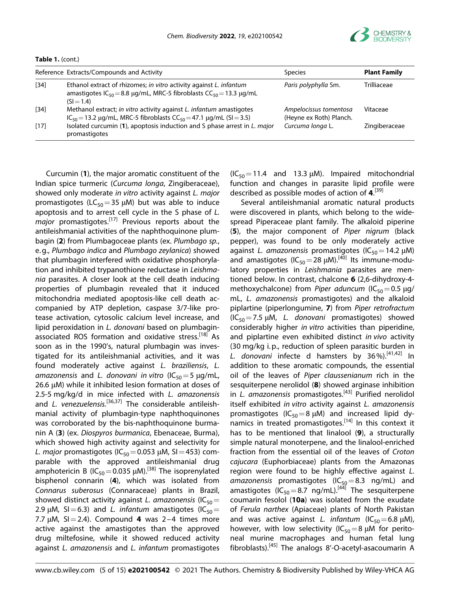

**Table 1.** (cont.)

|        | Reference Extracts/Compounds and Activity                                                                                                                               | <b>Species</b>                                    | <b>Plant Family</b> |
|--------|-------------------------------------------------------------------------------------------------------------------------------------------------------------------------|---------------------------------------------------|---------------------|
| $[34]$ | Ethanol extract of rhizomes; in vitro activity against L. infantum<br>amastigotes $IC_{50} = 8.8 \mu g/mL$ , MRC-5 fibroblasts $CC_{50} = 13.3 \mu g/mL$<br>$(S = 1.4)$ | Paris polyphylla Sm.                              | Trilliaceae         |
| $[34]$ | Methanol extract; in vitro activity against L. infantum amastigotes<br>$IC_{50} = 13.2 \mu g/mL$ , MRC-5 fibroblasts $CC_{50} = 47.1 \mu g/mL$ (SI = 3.5)               | Ampelocissus tomentosa<br>(Heyne ex Roth) Planch. | Vitaceae            |
| $[17]$ | Isolated curcumin (1), apoptosis induction and S phase arrest in L. major<br>promastigotes                                                                              | Curcuma longa L.                                  | Zingiberaceae       |

Curcumin (**1**), the major aromatic constituent of the Indian spice turmeric (*Curcuma longa*, Zingiberaceae), showed only moderate *in vitro* activity against *L. major* promastigotes (LC<sub>50</sub>=35  $\mu$ M) but was able to induce apoptosis and to arrest cell cycle in the S phase of *L. major* promastigotes.[17] Previous reports about the antileishmanial activities of the naphthoquinone plumbagin (**2**) from Plumbagoceae plants (ex. *Plumbago sp.*, e.g., *Plumbago indica* and *Plumbago zeylanica*) showed that plumbagin interfered with oxidative phosphorylation and inhibited trypanothione reductase in *Leishmania* parasites. A closer look at the cell death inducing properties of plumbagin revealed that it induced mitochondria mediated apoptosis-like cell death accompanied by ATP depletion, caspase 3/7-like protease activation, cytosolic calcium level increase, and lipid peroxidation in *L. donovani* based on plumbaginassociated ROS formation and oxidative stress.<sup>[18]</sup> As soon as in the 1990's, natural plumbagin was investigated for its antileishmanial activities, and it was found moderately active against *L. braziliensis*, *L. amazonensis* and *L. donovani in vitro* (IC<sub>50</sub> = 5 μg/mL, 26.6 μM) while it inhibited lesion formation at doses of 2.5-5 mg/kg/d in mice infected with *L. amazonensis* and *L. venezuelensis.*[36,37] The considerable antileishmanial activity of plumbagin-type naphthoquinones was corroborated by the bis-naphthoquinone burmanin A (**3**) (ex. *Diospyros burmanica*, Ebenaceae, Burma), which showed high activity against and selectivity for *L. major* promastigotes ( $IC_{50}$  = 0.053 μM, SI = 453) comparable with the approved antileishmanial drug amphotericin B ( $IC_{50}$  = 0.035  $µ$ M).<sup>[38]</sup> The isoprenylated bisphenol connarin (**4**), which was isolated from *Connarus suberosus* (Connaraceae) plants in Brazil, showed distinct activity against *L. amazonensis* (IC<sub>50</sub>= 2.9  $\mu$ M, SI=6.3) and *L. infantum* amastigotes (IC<sub>50</sub>= 7.7  $\mu$ M, SI = 2.4). Compound **4** was 2-4 times more active against the amastigotes than the approved drug miltefosine, while it showed reduced activity against *L. amazonensis* and *L. infantum* promastigotes

 $(IC_{50} = 11.4$  and 13.3  $\mu$ M). Impaired mitochondrial function and changes in parasite lipid profile were described as possible modes of action of **4**. [39]

Several antileishmanial aromatic natural products were discovered in plants, which belong to the widespread Piperaceae plant family. The alkaloid piperine (**5**), the major component of *Piper nigrum* (black pepper), was found to be only moderately active against *L. amazonensis* promastigotes (IC<sub>50</sub> = 14.2 μM) and amastigotes ( $IC_{50}$ =28  $µ$ M).<sup>[40]</sup> Its immune-modulatory properties in *Leishmania* parasites are mentioned below. In contrast, chalcone **6** (2,6-dihydroxy-4 methoxychalcone) from *Piper aduncum* (IC<sub>50</sub>=0.5 μg/ mL, *L. amazonensis* promastigotes) and the alkaloid piplartine (piperlongumine, **7**) from *Piper retrofractum* (IC50=7.5 μM, *L. donovani* promastigotes) showed considerably higher *in vitro* activities than piperidine, and piplartine even exhibited distinct *in vivo* activity (30 mg/kg i.p., reduction of spleen parasitic burden in *L. donovani* infecte d hamsters by 36%).[41,42] In addition to these aromatic compounds, the essential oil of the leaves of *Piper claussenianum* rich in the sesquiterpene nerolidol (**8**) showed arginase inhibition in *L. amazonensis* promastigotes.[43] Purified nerolidol itself exhibited *in vitro* activity against *L. amazonensis* promastigotes (IC<sub>50</sub>=8  $\mu$ M) and increased lipid dynamics in treated promastigotes.<sup>[14]</sup> In this context it has to be mentioned that linalool (**9**), a structurally simple natural monoterpene, and the linalool-enriched fraction from the essential oil of the leaves of *Croton cajucara* (Euphorbiaceae) plants from the Amazonas region were found to be highly effective against *L. amazonensis* promastigotes (IC<sub>50</sub>=8.3 ng/mL) and amastigotes  $(IC_{50} = 8.7$  ng/mL).<sup>[44]</sup> The sesquiterpene coumarin fesolol (**10a**) was isolated from the exudate of *Ferula narthex* (Apiaceae) plants of North Pakistan and was active against *L. infantum* (IC<sub>50</sub>=6.8  $\mu$ M), however, with low selectivity (IC<sub>50</sub>=8  $\mu$ M for peritoneal murine macrophages and human fetal lung fibroblasts).[45] The analogs 8'-O-acetyl-asacoumarin A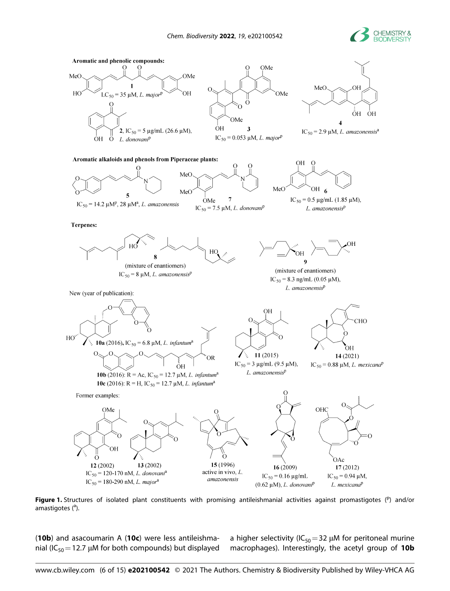



Figure 1. Structures of isolated plant constituents with promising antileishmanial activities against promastigotes (<sup>p</sup>) and/or amastigotes (<sup>a</sup>).

(**10b**) and asacoumarin A (**10c**) were less antileishmanial (IC<sub>50</sub> = 12.7  $\mu$ M for both compounds) but displayed a higher selectivity (IC<sub>50</sub>=32  $\mu$ M for peritoneal murine macrophages). Interestingly, the acetyl group of **10b**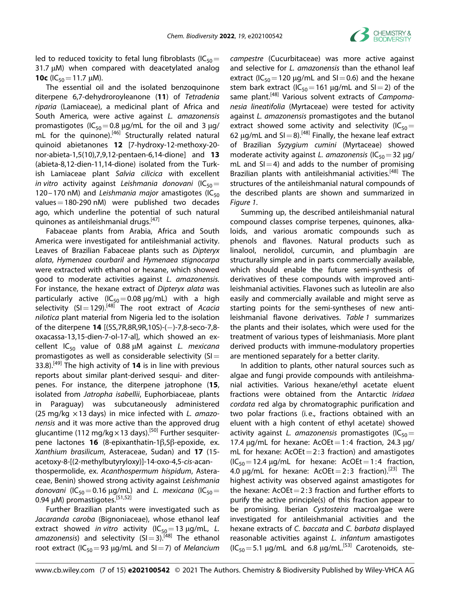

led to reduced toxicity to fetal lung fibroblasts (IC<sub>50</sub>= 31.7 μM) when compared with deacetylated analog **10c** ( $IC_{50} = 11.7 \mu M$ ).

The essential oil and the isolated benzoquinone diterpene 6,7-dehydroroyleanone (**11**) of *Tetradenia riparia* (Lamiaceae), a medicinal plant of Africa and South America, were active against *L. amazonensis* promastigotes (IC<sub>50</sub>=0.8  $\mu$ g/mL for the oil and 3  $\mu$ g/ mL for the quinone).<sup>[46]</sup> Structurally related natural quinoid abietanones **12** [7-hydroxy-12-methoxy-20 nor-abieta-1,5(10),7,9,12-pentaen-6,14-dione] and **13** (abieta-8,12-dien-11,14-dione) isolated from the Turkish Lamiaceae plant *Salvia cilicica* with excellent *in* vitro activity against *Leishmania donovani* (IC<sub>50</sub>= 120–170 nM) and *Leishmania major* amastigotes (IC<sub>50</sub> values=180-290 nM) were published two decades ago, which underline the potential of such natural quinones as antileishmanial drugs.<sup>[47]</sup>

Fabaceae plants from Arabia, Africa and South America were investigated for antileishmanial activity. Leaves of Brazilian Fabaceae plants such as *Dipteryx alata*, *Hymenaea courbaril* and *Hymenaea stignocarpa* were extracted with ethanol or hexane, which showed good to moderate activities against *L. amazonensis.* For instance, the hexane extract of *Dipteryx alata* was particularly active  $(IC_{50} = 0.08 \mu g/mL)$  with a high selectivity (SI=129).[48] The root extract of *Acacia nilotica* plant material from Nigeria led to the isolation of the diterpene **14** [(5S,7R,8R,9R,10S)-( )-7,8-seco-7,8 oxacassa-13,15-dien-7-ol-17-al], which showed an excellent IC<sub>50</sub> value of 0.88 μM against *L. mexicana* promastigotes as well as considerable selectivity  $(S)$ = 33.8).[49] The high activity of **14** is in line with previous reports about similar plant-derived sesqui- and diterpenes. For instance, the diterpene jatrophone (**15**, isolated from *Jatropha isabellii*, Euphorbiaceae, plants in Paraguay) was subcutaneously administered (25 mg/kg ×13 days) in mice infected with *L. amazonensis* and it was more active than the approved drug glucantime (112 mg/kg $\times$ 13 days).<sup>[50]</sup> Further sesquiterpene lactones **16** (8-epixanthatin-1β,5β-epoxide, ex. *Xanthium brasilicum*, Asteraceae, Sudan) and **17** (15 acetoxy-8-[(2-methylbutyryloxy)]-14-oxo-4,5-*cis-*acanthospermolide, ex. *Acanthospermum hispidum*, Asteraceae, Benin) showed strong activity against *Leishmania donovani* (IC<sub>50</sub>=0.16  $\mu$ g/mL) and *L. mexicana* (IC<sub>50</sub>= 0.94 μM) promastigotes.<sup>[51,52]</sup>

Further Brazilian plants were investigated such as *Jacaranda caroba* (Bignoniaceae), whose ethanol leaf extract showed *in* vitro activity ( $IC_{50} = 13 \mu g/mL$ , *L.* amazonensis) and selectivity  $(SI=3)$ .<sup>[48]</sup> The ethanol root extract (IC<sub>50</sub>=93  $\mu$ g/mL and SI=7) of *Melancium* 

*campestre* (Cucurbitaceae) was more active against and selective for *L. amazonensis* than the ethanol leaf extract ( $IC_{50}$  = 120 µg/mL and SI = 0.6) and the hexane stem bark extract ( $IC_{50}$ =161  $\mu$ g/mL and SI=2) of the same plant.[48] Various solvent extracts of *Campomanesia lineatifolia* (Myrtaceae) were tested for activity against *L. amazonensis* promastigotes and the butanol extract showed some activity and selectivity (IC<sub>50</sub>= 62  $\mu$ g/mL and SI = 8).<sup>[48]</sup> Finally, the hexane leaf extract of Brazilian *Syzygium cumini* (Myrtaceae) showed moderate activity against *L. amazonensis* (IC<sub>50</sub> = 32 μg/ mL and  $SI = 4$ ) and adds to the number of promising Brazilian plants with antileishmanial activities.<sup>[48]</sup> The structures of the antileishmanial natural compounds of the described plants are shown and summarized in *Figure 1*.

Summing up, the described antileishmanial natural compound classes comprise terpenes, quinones, alkaloids, and various aromatic compounds such as phenols and flavones. Natural products such as linalool, nerolidol, curcumin, and plumbagin are structurally simple and in parts commercially available, which should enable the future semi-synthesis of derivatives of these compounds with improved antileishmanial activities. Flavones such as luteolin are also easily and commercially available and might serve as starting points for the semi-syntheses of new antileishmanial flavone derivatives. *Table 1* summarizes the plants and their isolates, which were used for the treatment of various types of leishmaniasis. More plant derived products with immune-modulatory properties are mentioned separately for a better clarity.

In addition to plants, other natural sources such as algae and fungi provide compounds with antileishmanial activities. Various hexane/ethyl acetate eluent fractions were obtained from the Antarctic *Iridaea cordata* red alga by chromatographic purification and two polar fractions (i. e., fractions obtained with an eluent with a high content of ethyl acetate) showed activity against *L. amazonensis* promastigotes ( $IC_{50}$ = 17.4  $\mu$ g/mL for hexane: AcOEt = 1:4 fraction, 24.3  $\mu$ g/ mL for hexane:  $AcOEt = 2:3$  fraction) and amastigotes  $(IC_{50} = 12.4 \mu g/mL$  for hexane: AcOEt = 1:4 fraction, 4.0  $\mu$ g/mL for hexane: AcOEt = 2:3 fraction).<sup>[23]</sup> The highest activity was observed against amastigotes for the hexane:  $AcOE = 2:3$  fraction and further efforts to purify the active principle(s) of this fraction appear to be promising. Iberian *Cystosteira* macroalgae were investigated for antileishmanial activities and the hexane extracts of *C. baccata* and *C. barbata* displayed reasonable activities against *L. infantum* amastigotes  $(IC_{50} = 5.1 \text{ µg/mL}$  and 6.8  $\mu$ g/mL.<sup>[53]</sup> Carotenoids, ste-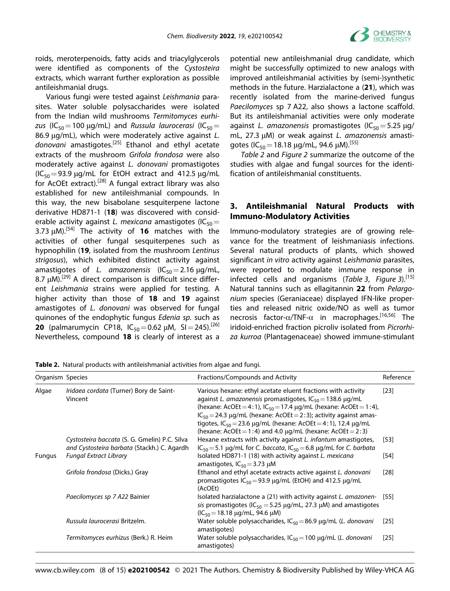

roids, meroterpenoids, fatty acids and triacylglycerols were identified as components of the *Cystosteira* extracts, which warrant further exploration as possible antileishmanial drugs.

Various fungi were tested against *Leishmania* parasites. Water soluble polysaccharides were isolated from the Indian wild mushrooms *Termitomyces eurhizus* (IC<sub>50</sub>=100  $\mu$ g/mL) and *Russula laurocerasi* (IC<sub>50</sub>= 86.9 μg/mL), which were moderately active against *L. donovani* amastigotes.[25] Ethanol and ethyl acetate extracts of the mushroom *Grifola frondosa* were also moderately active against *L. donovani* promastigotes ( $IC_{50}$ =93.9  $\mu$ g/mL for EtOH extract and 412.5  $\mu$ g/mL for AcOEt extract).[28] A fungal extract library was also established for new antileishmanial compounds. In this way, the new bisabolane sesquiterpene lactone derivative HD871-1 (**18**) was discovered with considerable activity against *L. mexicana* amastigotes (IC<sub>50</sub>= 3.73 μM).[54] The activity of **16** matches with the activities of other fungal sesquiterpenes such as hypnophilin (**19**, isolated from the mushroom *Lentinus strigosus*), which exhibited distinct activity against amastigotes of *L. amazonensis*  $(IC_{50} = 2.16 \,\mu\text{g/mL})$ 8.7 μM).<sup>[29]</sup> A direct comparison is difficult since different *Leishmania* strains were applied for testing. A higher activity than those of **18** and **19** against amastigotes of *L. donovani* was observed for fungal quinones of the endophytic fungus *Edenia sp.* such as **20** (palmarumycin CP18,  $IC_{50} = 0.62 \mu M$ , SI = 245).<sup>[26]</sup> Nevertheless, compound **18** is clearly of interest as a potential new antileishmanial drug candidate, which might be successfully optimized to new analogs with improved antileishmanial activities by (semi-)synthetic methods in the future. Harzialactone a (**21**), which was recently isolated from the marine-derived fungus *Paecilomyces* sp 7 A22, also shows a lactone scaffold. But its antileishmanial activities were only moderate against *L. amazonensis* promastigotes (IC<sub>50</sub> = 5.25 μg/ mL, 27.3 μM) or weak against *L. amazonensis* amastigotes (IC<sub>50</sub> = 18.18  $\mu$ g/mL, 94.6  $\mu$ M).<sup>[55]</sup>

*Table 2* and *Figure 2* summarize the outcome of the studies with algae and fungal sources for the identification of antileishmanial constituents.

# **3. Antileishmanial Natural Products with Immuno-Modulatory Activities**

Immuno-modulatory strategies are of growing relevance for the treatment of leishmaniasis infections. Several natural products of plants, which showed significant *in vitro* activity against *Leishmania* parasites, were reported to modulate immune response in infected cells and organisms (*Table 3*, *Figure 3*).[15] Natural tannins such as ellagitannin **22** from *Pelargonium* species (Geraniaceae) displayed IFN-like properties and released nitric oxide/NO as well as tumor necrosis factor-α/TNF-α in macrophages.<sup>[16,56]</sup> The iridoid-enriched fraction picroliv isolated from *Picrorhiza kurroa* (Plantagenaceae) showed immune-stimulant

**Table 2.** Natural products with antileishmanial activities from algae and fungi.

| Organism Species |                                                                                              | Fractions/Compounds and Activity                                                                                                                                                                                                                                                                                                                                                                                                      | Reference |
|------------------|----------------------------------------------------------------------------------------------|---------------------------------------------------------------------------------------------------------------------------------------------------------------------------------------------------------------------------------------------------------------------------------------------------------------------------------------------------------------------------------------------------------------------------------------|-----------|
| Algae            | Iridaea cordata (Turner) Bory de Saint-<br>Vincent                                           | Various hexane: ethyl acetate eluent fractions with activity<br>against L. amazonensis promastigotes, $IC_{50} = 138.6 \mu g/mL$<br>(hexane: AcOEt = 4:1), $IC_{50} = 17.4 \mu g/mL$ (hexane: AcOEt = 1:4),<br>$IC_{50} = 24.3 \mu g/mL$ (hexane: AcOEt = 2:3); activity against amas-<br>tigotes, $IC_{50} = 23.6 \mu q/mL$ (hexane: AcOEt = 4:1), 12.4 $\mu q/mL$<br>(hexane: AcOEt = 1:4) and 4.0 $\mu$ g/mL (hexane: AcOEt = 2:3) | $[23]$    |
|                  | Cystosteira baccata (S. G. Gmelin) P.C. Silva<br>and Cystosteira barbata (Stackh.) C. Agardh | Hexane extracts with activity against L. infantum amastigotes,<br>$IC_{50} = 5.1 \mu g/mL$ for C. baccata, $IC_{50} = 6.8 \mu g/mL$ for C. barbata                                                                                                                                                                                                                                                                                    | $[53]$    |
| Fungus           | <b>Fungal Extract Library</b>                                                                | Isolated HD871-1 (18) with activity against L. mexicana<br>amastigotes, $IC_{50} = 3.73 \mu M$                                                                                                                                                                                                                                                                                                                                        | [54]      |
|                  | Grifola frondosa (Dicks.) Gray                                                               | Ethanol and ethyl acetate extracts active against L. donovani<br>promastigotes $IC_{50} = 93.9 \mu q/mL$ (EtOH) and 412.5 $\mu q/mL$<br>(AcOEt)                                                                                                                                                                                                                                                                                       | [28]      |
|                  | Paecilomyces sp 7 A22 Bainier                                                                | Isolated harzialactone a (21) with activity against L. amazonen-<br>sis promastigotes (IC <sub>50</sub> = 5.25 $\mu$ g/mL, 27.3 $\mu$ M) and amastigotes<br>$(IC_{50} = 18.18 \text{ µq/mL}, 94.6 \text{ µM})$                                                                                                                                                                                                                        | [55]      |
|                  | Russula laurocerasi Britzelm.                                                                | Water soluble polysaccharides, $IC_{50} = 86.9$ $\mu$ g/mL (L. donovani<br>amastigotes)                                                                                                                                                                                                                                                                                                                                               | [25]      |
|                  | Termitomyces eurhizus (Berk.) R. Heim                                                        | Water soluble polysaccharides, $IC_{50} = 100 \mu g/mL$ (L. donovani<br>amastigotes)                                                                                                                                                                                                                                                                                                                                                  | [25]      |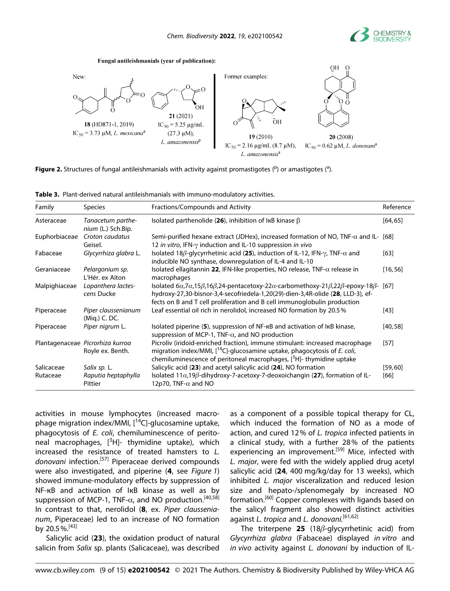

#### Fungal antileishmanials (year of publication):



Figure 2. Structures of fungal antileishmanials with activity against promastigotes (<sup>p</sup>) or amastigotes (<sup>a</sup>).

| Table 3. Plant-derived natural antileishmanials with immuno-modulatory activities. |  |
|------------------------------------------------------------------------------------|--|
|------------------------------------------------------------------------------------|--|

| Family        | <b>Species</b>                                       | Fractions/Compounds and Activity                                                                                                                                                                                                                                                                                | Reference |
|---------------|------------------------------------------------------|-----------------------------------------------------------------------------------------------------------------------------------------------------------------------------------------------------------------------------------------------------------------------------------------------------------------|-----------|
| Asteraceae    | Tanacetum parthe-<br>nium (L.) Sch.Bip.              | Isolated parthenolide (26), inhibition of IKB kinase $\beta$                                                                                                                                                                                                                                                    | [64, 65]  |
| Euphorbiaceae | Croton caudatus<br>Geisel.                           | Semi-purified hexane extract (JDHex), increased formation of NO, TNF- $\alpha$ and IL- [68]<br>12 in vitro, IFN-y induction and IL-10 suppression in vivo                                                                                                                                                       |           |
| Fabaceae      | Glycyrrhiza glabra L.                                | Isolated 18 $\beta$ -glycyrrhetinic acid (25), induction of IL-12, IFN- $\gamma$ , TNF- $\alpha$ and<br>inducible NO synthase, downregulation of IL-4 and IL-10                                                                                                                                                 | [63]      |
| Geraniaceae   | Pelargonium sp.<br>L'Hér. ex Aiton                   | Isolated ellagitannin 22, IFN-like properties, NO release, TNF- $\alpha$ release in<br>macrophages                                                                                                                                                                                                              | [16, 56]  |
| Malpighiaceae | Lopanthera lactes-<br>cens Ducke                     | Isolated $6\alpha$ , 7 $\alpha$ , 15 $\beta$ , 16 $\beta$ , 24-pentacetoxy-22 $\alpha$ -carbomethoxy-21 $\beta$ , 22 $\beta$ -epoxy-18 $\beta$ -<br>hydroxy-27,30-bisnor-3,4-secofriedela-1,20(29)-dien-3,4R-olide (28, LLD-3), ef-<br>fects on B and T cell proliferation and B cell immunoglobulin production | [67]      |
| Piperaceae    | Piper claussenianum<br>(Mig.) C. DC.                 | Leaf essential oil rich in nerolidol, increased NO formation by 20.5%                                                                                                                                                                                                                                           | [43]      |
| Piperaceae    | Piper nigrum L.                                      | Isolated piperine (5), suppression of NF-KB and activation of IKB kinase,<br>suppression of MCP-1, TNF- $\alpha$ , and NO production                                                                                                                                                                            | [40, 58]  |
|               | Plantagenaceae Picrorhiza kurroa<br>Royle ex. Benth. | Picroliv (iridoid-enriched fraction), immune stimulant: increased macrophage<br>migration index/MMI, $[$ <sup>14</sup> C]-glucosamine uptake, phagocytosis of <i>E. coli</i> ,<br>chemiluminescence of peritoneal macrophages, $[^{3}H]$ - thymidine uptake                                                     | $[57]$    |
| Salicaceae    | Salix sp. L.                                         | Salicylic acid (23) and acetyl salicylic acid (24), NO formation                                                                                                                                                                                                                                                | [59, 60]  |
| Rutaceae      | Raputia heptaphylla<br>Pittier                       | Isolated $11\alpha$ , 19 $\beta$ -dihydroxy-7-acetoxy-7-deoxoichangin (27), formation of IL-<br>12p70, TNF- $\alpha$ and NO                                                                                                                                                                                     | [66]      |

activities in mouse lymphocytes (increased macrophage migration index/MMI, [<sup>14</sup>C]-glucosamine uptake, phagocytosis of *E. coli*, chemiluminescence of peritoneal macrophages, [<sup>3</sup>H]- thymidine uptake), which increased the resistance of treated hamsters to *L.* donovani infection.<sup>[57]</sup> Piperaceae derived compounds were also investigated, and piperine (**4**, see *Figure 1*) showed immune-modulatory effects by suppression of NF-кB and activation of IкB kinase as well as by suppression of MCP-1, TNF- $\alpha$ , and NO production.<sup>[40,58]</sup> In contrast to that, nerolidol (**8**, ex. *Piper claussenianum*, Piperaceae) led to an increase of NO formation by 20.5%.[43]

Salicylic acid (**23**), the oxidation product of natural salicin from *Salix* sp. plants (Salicaceae), was described

as a component of a possible topical therapy for CL, which induced the formation of NO as a mode of action, and cured 12% of *L. tropica* infected patients in a clinical study, with a further 28% of the patients experiencing an improvement.<sup>[59]</sup> Mice, infected with *L. major*, were fed with the widely applied drug acetyl salicylic acid (**24**, 400 mg/kg/day for 13 weeks), which inhibited *L. major* visceralization and reduced lesion size and hepato-/splenomegaly by increased NO formation.[60] Copper complexes with ligands based on the salicyl fragment also showed distinct activities against *L. tropica* and *L. donovani.*[61,62]

The triterpene **25** (18*β*-glycyrrhetinic acid) from *Glycyrrhiza glabra* (Fabaceae) displayed *in vitro* and *in vivo* activity against *L. donovani* by induction of IL-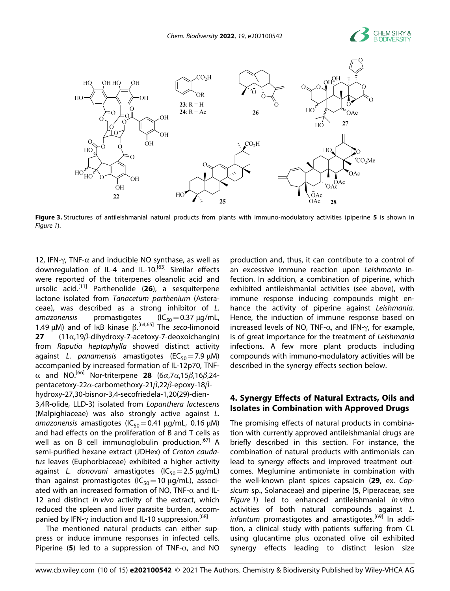



**Figure 3.** Structures of antileishmanial natural products from plants with immuno-modulatory activities (piperine **5** is shown in *Figure 1*).

12, IFN-γ, TNF- $\alpha$  and inducible NO synthase, as well as downregulation of IL-4 and IL-10.<sup>[63]</sup> Similar effects were reported of the triterpenes oleanolic acid and ursolic acid.[11] Parthenolide (**26**), a sesquiterpene lactone isolated from *Tanacetum parthenium* (Asteraceae), was described as a strong inhibitor of *L. amazonensis* promastigotes (IC<sub>50</sub> = 0.37 μg/mL, 1.49 μM) and of IкB kinase β. [64,65] The *seco*-limonoid **27** (11α,19*β*-dihydroxy-7-acetoxy-7-deoxoichangin) from *Raputia heptaphylla* showed distinct activity against *L. panamensis* amastigotes (EC<sub>50</sub> = 7.9 μM) accompanied by increased formation of IL-12p70, TNFα and NO.[66] Nor-triterpene **28** (6*α*,7*α*,15*β*,16*β*,24 pentacetoxy-22*α*-carbomethoxy-21*β*,22*β*-epoxy-18*β*hydroxy-27,30-bisnor-3,4-secofriedela-1,20(29)-dien-

3,4R-olide, LLD-3) isolated from *Lopanthera lactescens* (Malpighiaceae) was also strongly active against *L.* amazonensis amastigotes (IC<sub>50</sub>=0.41 μg/mL, 0.16 μM) and had effects on the proliferation of B and T cells as well as on B cell immunoglobulin production.<sup>[67]</sup> A semi-purified hexane extract (JDHex) of *Croton caudatus* leaves (Euphorbiaceae) exhibited a higher activity against *L. donovani* amastigotes (IC<sub>50</sub> = 2.5 μg/mL) than against promastigotes ( $IC_{50}$  = 10  $\mu$ g/mL), associated with an increased formation of NO, TNF- $\alpha$  and IL-12 and distinct *in vivo* activity of the extract, which reduced the spleen and liver parasite burden, accompanied by IFN-γ induction and IL-10 suppression.<sup>[68]</sup>

The mentioned natural products can either suppress or induce immune responses in infected cells. Piperine (5) led to a suppression of TNF- $\alpha$ , and NO

production and, thus, it can contribute to a control of an excessive immune reaction upon *Leishmania* infection. In addition, a combination of piperine, which exhibited antileishmanial activities (see above), with immune response inducing compounds might enhance the activity of piperine against *Leishmania.* Hence, the induction of immune response based on increased levels of NO, TNF- $\alpha$ , and IFN- $\gamma$ , for example, is of great importance for the treatment of *Leishmania* infections. A few more plant products including compounds with immuno-modulatory activities will be described in the synergy effects section below.

## **4. Synergy Effects of Natural Extracts, Oils and Isolates in Combination with Approved Drugs**

The promising effects of natural products in combination with currently approved antileishmanial drugs are briefly described in this section. For instance, the combination of natural products with antimonials can lead to synergy effects and improved treatment outcomes. Meglumine antimoniate in combination with the well-known plant spices capsaicin (**29**, ex. *Capsicum* sp., Solanaceae) and piperine (**5**, Piperaceae, see *Figure 1*) led to enhanced antileishmanial *in vitro* activities of both natural compounds against *L.* infantum promastigotes and amastigotes.<sup>[69]</sup> In addition, a clinical study with patients suffering from CL using glucantime plus ozonated olive oil exhibited synergy effects leading to distinct lesion size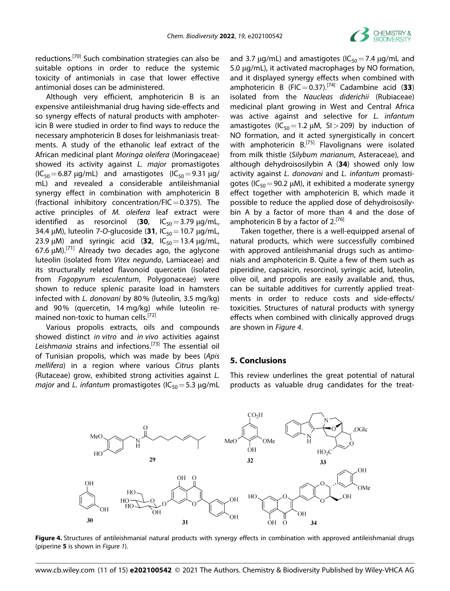

reductions.[70] Such combination strategies can also be suitable options in order to reduce the systemic toxicity of antimonials in case that lower effective antimonial doses can be administered.

Although very efficient, amphotericin B is an expensive antileishmanial drug having side-effects and so synergy effects of natural products with amphotericin B were studied in order to find ways to reduce the necessary amphotericin B doses for leishmaniasis treatments. A study of the ethanolic leaf extract of the African medicinal plant *Moringa oleifera* (Moringaceae) showed its activity against *L. major* promastigotes  $(IC_{50} = 6.87 \text{ µg/mL})$  and amastigotes  $(IC_{50} = 9.31 \text{ µg/m})$ mL) and revealed a considerable antileishmanial synergy effect in combination with amphotericin B (fractional inhibitory concentration/FIC = 0.375). The active principles of *M. oleifera* leaf extract were identified as resorcinol (**30**,  $IC_{50} = 3.79 \mu g/mL$ , 34.4 μM), luteolin 7-O-glucoside (31, IC<sub>50</sub> = 10.7 μg/mL, 23.9  $\mu$ M) and syringic acid (32,  $IC_{50} = 13.4 \,\mu$ g/mL, 67.6  $\mu$ M).<sup>[71]</sup> Already two decades ago, the aglycone luteolin (isolated from *Vitex negundo*, Lamiaceae) and its structurally related flavonoid quercetin (isolated from *Fagopyrum esculentum*, Polygonaceae) were shown to reduce splenic parasite load in hamsters infected with *L. donovani* by 80% (luteolin, 3.5 mg/kg) and 90% (quercetin, 14 mg/kg) while luteolin remained non-toxic to human cells.<sup>[72]</sup>

Various propolis extracts, oils and compounds showed distinct *in vitro* and *in vivo* activities against *Leishmania* strains and infections.[73] The essential oil of Tunisian propolis, which was made by bees (*Apis mellifera*) in a region where various *Citrus* plants (Rutaceae) grow, exhibited strong activities against *L. major* and *L. infantum* promastigotes (IC<sub>50</sub> = 5.3 μg/mL

and 3.7  $\mu$ g/mL) and amastigotes (IC<sub>50</sub> = 7.4  $\mu$ g/mL and 5.0 μg/mL), it activated macrophages by NO formation, and it displayed synergy effects when combined with amphotericin B  $(FIC = 0.37)$ .<sup>[74]</sup> Cadambine acid (33) isolated from the *Naucleas diderichii* (Rubiaceae) medicinal plant growing in West and Central Africa was active against and selective for *L. infantum* amastigotes ( $IC_{50}$ =1.2  $µM$ , SI > 209) by induction of NO formation, and it acted synergistically in concert with amphotericin  $B^{[75]}$  Flavolignans were isolated from milk thistle (*Silybum marianum*, Asteraceae), and although dehydroisosilybin A (**34**) showed only low activity against *L. donovani* and *L. infantum* promastigotes (IC<sub>50</sub> = 90.2  $\mu$ M), it exhibited a moderate synergy effect together with amphotericin B, which made it possible to reduce the applied dose of dehydroisosilybin A by a factor of more than 4 and the dose of amphotericin B by a factor of  $2^{[76]}$ 

Taken together, there is a well-equipped arsenal of natural products, which were successfully combined with approved antileishmanial drugs such as antimonials and amphotericin B. Quite a few of them such as piperidine, capsaicin, resorcinol, syringic acid, luteolin, olive oil, and propolis are easily available and, thus, can be suitable additives for currently applied treatments in order to reduce costs and side-effects/ toxicities. Structures of natural products with synergy effects when combined with clinically approved drugs are shown in *Figure 4*.

#### **5. Conclusions**

This review underlines the great potential of natural products as valuable drug candidates for the treat-



**Figure 4.** Structures of antileishmanial natural products with synergy effects in combination with approved antileishmanial drugs (piperine **5** is shown in *Figure 1*).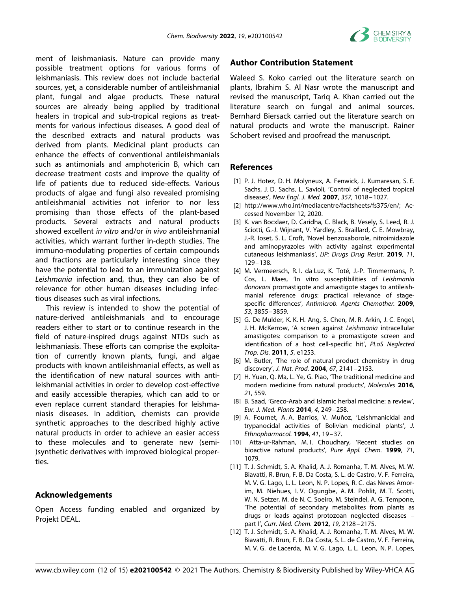

ment of leishmaniasis. Nature can provide many possible treatment options for various forms of leishmaniasis. This review does not include bacterial sources, yet, a considerable number of antileishmanial plant, fungal and algae products. These natural sources are already being applied by traditional healers in tropical and sub-tropical regions as treatments for various infectious diseases. A good deal of the described extracts and natural products was derived from plants. Medicinal plant products can enhance the effects of conventional antileishmanials such as antimonials and amphotericin B, which can decrease treatment costs and improve the quality of life of patients due to reduced side-effects. Various products of algae and fungi also revealed promising antileishmanial activities not inferior to nor less promising than those effects of the plant-based products. Several extracts and natural products showed excellent *in vitro* and/or *in vivo* antileishmanial activities, which warrant further in-depth studies. The immuno-modulating properties of certain compounds and fractions are particularly interesting since they have the potential to lead to an immunization against *Leishmania* infection and, thus, they can also be of relevance for other human diseases including infectious diseases such as viral infections.

This review is intended to show the potential of nature-derived antileishmanials and to encourage readers either to start or to continue research in the field of nature-inspired drugs against NTDs such as leishmaniasis. These efforts can comprise the exploitation of currently known plants, fungi, and algae products with known antileishmanial effects, as well as the identification of new natural sources with antileishmanial activities in order to develop cost-effective and easily accessible therapies, which can add to or even replace current standard therapies for leishmaniasis diseases. In addition, chemists can provide synthetic approaches to the described highly active natural products in order to achieve an easier access to these molecules and to generate new (semi- )synthetic derivatives with improved biological properties.

### **Acknowledgements**

Open Access funding enabled and organized by Projekt DEAL.

### **Author Contribution Statement**

Waleed S. Koko carried out the literature search on plants, Ibrahim S. Al Nasr wrote the manuscript and revised the manuscript, Tariq A. Khan carried out the literature search on fungal and animal sources. Bernhard Biersack carried out the literature search on natural products and wrote the manuscript. Rainer Schobert revised and proofread the manuscript.

#### **References**

- [1] P. J. Hotez, D. H. Molyneux, A. Fenwick, J. Kumaresan, S. E. Sachs, J. D. Sachs, L. Savioli, 'Control of neglected tropical diseases', *New Engl. J. Med.* **2007**, *357*, 1018–1027.
- [2] http://www.who.int/mediacentre/factsheets/fs375/en/; Accessed November 12, 2020.
- [3] K. van Bocxlaer, D. Caridha, C. Black, B. Vesely, S. Leed, R. J. Sciotti, G.-J. Wijnant, V. Yardley, S. Braillard, C. E. Mowbray, J.-R. Ioset, S. L. Croft, 'Novel benzoxaborole, nitroimidazole and aminopyrazoles with activity against experimental cutaneous leishmaniasis', *IJP: Drugs Drug Resist.* **2019**, *11*, 129–138.
- [4] M. Vermeersch, R. I. da Luz, K. Toté, J.-P. Timmermans, P. Cos, L. Maes, 'In vitro susceptibilities of *Leishmania donovani* promastigote and amastigote stages to antileishmanial reference drugs: practical relevance of stagespecific differences', *Antimicrob. Agents Chemother.* **2009**, *53*, 3855–3859.
- [5] G. De Mulder, K. K. H. Ang, S. Chen, M. R. Arkin, J. C. Engel, J. H. McKerrow, 'A screen against *Leishmania* intracellular amastigotes: comparison to a promastigote screen and identification of a host cell-specific hit', *PLoS Neglected Trop. Dis.* **2011**, *5*, e1253.
- [6] M. Butler, 'The role of natural product chemistry in drug discovery', *J. Nat. Prod.* **2004**, *67*, 2141–2153.
- [7] H. Yuan, Q. Ma, L. Ye, G. Piao, 'The traditional medicine and modern medicine from natural products', *Molecules* **2016**, *21*, 559.
- [8] B. Saad, 'Greco-Arab and Islamic herbal medicine: a review', *Eur. J. Med. Plants* **2014**, *4*, 249–258.
- [9] A. Fournet, A. A. Barrios, V. Muñoz, 'Leishmanicidal and trypanocidal activities of Bolivian medicinal plants', *J. Ethnopharmacol.* **1994**, *41*, 19–37.
- [10] Atta-ur-Rahman, M. I. Choudhary, 'Recent studies on bioactive natural products', *Pure Appl. Chem.* **1999**, *71*, 1079.
- [11] T. J. Schmidt, S. A. Khalid, A. J. Romanha, T. M. Alves, M. W. Biavatti, R. Brun, F. B. Da Costa, S. L. de Castro, V. F. Ferreira, M. V. G. Lago, L. L. Leon, N. P. Lopes, R. C. das Neves Amorim, M. Niehues, I. V. Ogungbe, A. M. Pohlit, M. T. Scotti, W. N. Setzer, M. de N. C. Soeiro, M. Steindel, A. G. Tempone, 'The potential of secondary metabolites from plants as drugs or leads against protozoan neglected diseases – part I', *Curr. Med. Chem.* **2012**, *19*, 2128–2175.
- [12] T. J. Schmidt, S. A. Khalid, A. J. Romanha, T. M. Alves, M. W. Biavatti, R. Brun, F. B. Da Costa, S. L. de Castro, V. F. Ferreira, M. V. G. de Lacerda, M. V. G. Lago, L. L. Leon, N. P. Lopes,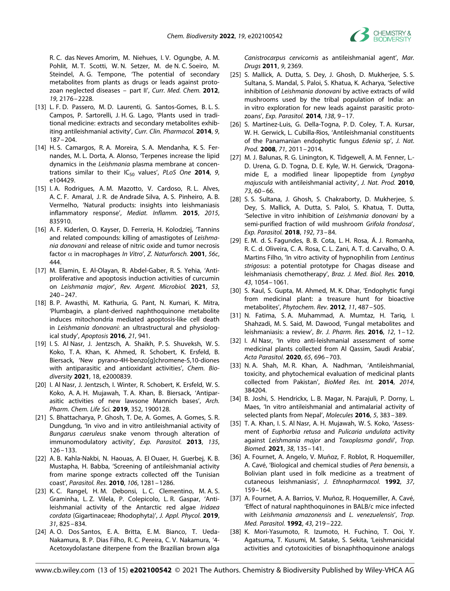R. C. das Neves Amorim, M. Niehues, I. V. Ogungbe, A. M. Pohlit, M. T. Scotti, W. N. Setzer, M. de N. C. Soeiro, M. Steindel, A. G. Tempone, 'The potential of secondary metabolites from plants as drugs or leads against protozoan neglected diseases – part II', *Curr. Med. Chem.* **2012**, *19*, 2176–2228.

- [13] L. F. D. Passero, M. D. Laurenti, G. Santos-Gomes, B. L. S. Campos, P. Sartorelli, J. H. G. Lago, 'Plants used in traditional medicine: extracts and secondary metabolites exhibiting antileishmanial activity', *Curr. Clin. Pharmacol.* **2014**, *9*, 187–204.
- [14] H. S. Camargos, R. A. Moreira, S. A. Mendanha, K. S. Fernandes, M. L. Dorta, A. Alonso, 'Terpenes increase the lipid dynamics in the *Leishmania* plasma membrane at concentrations similar to their IC<sub>50</sub> values', *PLoS One* 2014, 9, e104429.
- [15] I. A. Rodrigues, A. M. Mazotto, V. Cardoso, R. L. Alves, A. C. F. Amaral, J. R. de Andrade Silva, A. S. Pinheiro, A. B. Vermelho, 'Natural products: insights into leishmaniasis inflammatory response', *Mediat. Inflamm.* **2015**, *2015*, 835910.
- [16] A. F. Kiderlen, O. Kayser, D. Ferreria, H. Kolodziej, 'Tannins and related compounds: killing of amastigotes of *Leishmania donovani* and release of nitric oxide and tumor necrosis factor α in macrophages *In Vitro*', *Z. Naturforsch.* **2001**, *56c*, 444.
- [17] M. Elamin, E. Al-Olayan, R. Abdel-Gaber, R. S. Yehia, 'Antiproliferative and apoptosis induction activities of curcumin on *Leishmania major*', *Rev. Argent. Microbiol.* **2021**, *53*, 240–247.
- [18] B. P. Awasthi, M. Kathuria, G. Pant, N. Kumari, K. Mitra, 'Plumbagin, a plant-derived naphthoquinone metabolite induces mitochondria mediated apoptosis-like cell death in *Leishmania donovani*: an ultrastructural and physiological study', *Apoptosis* **2016**, *21*, 941.
- [19] I. S. Al Nasr, J. Jentzsch, A. Shaikh, P. S. Shuveksh, W. S. Koko, T. A. Khan, K. Ahmed, R. Schobert, K. Ersfeld, B. Biersack, 'New pyrano-4H-benzo[g]chromene-5,10-diones with antiparasitic and antioxidant activities', *Chem. Biodiversity* **2021**, 18, e2000839.
- [20] I. Al Nasr, J. Jentzsch, I. Winter, R. Schobert, K. Ersfeld, W. S. Koko, A. A. H. Mujawah, T. A. Khan, B. Biersack, 'Antiparasitic activities of new lawsone Mannich bases', *Arch. Pharm. Chem. Life Sci.* **2019**, 352, 1900128.
- [21] S. Bhattacharya, P. Ghosh, T. De, A. Gomes, A. Gomes, S. R. Dungdung, 'In vivo and in vitro antileishmanial activity of *Bungarus caeruleus* snake venom through alteration of immunomodulatory activity', *Exp. Parasitol.* **2013**, *135*, 126–133.
- [22] A. B. Kahla-Nakbi, N. Haouas, A. El Ouaer, H. Guerbej, K. B. Mustapha, H. Babba, 'Screening of antileishmanial activity from marine sponge extracts collected off the Tunisian coast', *Parasitol. Res.* **2010**, *106*, 1281–1286.
- [23] K. C. Rangel, H. M. Debonsi, L. C. Clementino, M. A. S. Graminha, L. Z. Vilela, P. Colepicolo, L. R. Gaspar, 'Antileishmanial activity of the Antarctic red algae *Iridaea cordata* (Gigartinaceae; Rhodophyta)', *J. Appl. Phycol.* **2019**, *31*, 825–834.
- [24] A. O. Dos Santos, E. A. Britta, E. M. Bianco, T. Ueda-Nakamura, B. P. Dias Filho, R. C. Pereira, C. V. Nakamura, '4- Acetoxydolastane diterpene from the Brazilian brown alga

*Canistrocarpus cervicornis* as antileishmanial agent', *Mar. Drugs* **2011**, *9*, 2369.

- [25] S. Mallick, A. Dutta, S. Dey, J. Ghosh, D. Mukherjee, S. S. Sultana, S. Mandal, S. Paloi, S. Khatua, K. Acharya, 'Selective inhibition of *Leishmania donovani* by active extracts of wild mushrooms used by the tribal population of India: an in vitro exploration for new leads against parasitic protozoans', *Exp. Parasitol.* **2014**, *138*, 9–17.
- [26] S. Martínez-Luis, G. Della-Togna, P. D. Coley, T. A. Kursar, W. H. Gerwick, L. Cubilla-Rios, 'Antileishmanial constituents of the Panamanian endophytic fungus *Edenia* sp', *J. Nat. Prod.* **2008**, *71*, 2011–2014.
- [27] M. J. Balunas, R. G. Linington, K. Tidgewell, A. M. Fenner, L.-D. Urena, G. D. Togna, D. E. Kyle, W. H. Gerwick, 'Dragonamide E, a modified linear lipopeptide from *Lyngbya majuscula* with antileishmanial activity', *J. Nat. Prod.* **2010**, *73*, 60–66.
- [28] S. S. Sultana, J. Ghosh, S. Chakraborty, D. Mukherjee, S. Dey, S. Mallick, A. Dutta, S. Paloi, S. Khatua, T. Dutta, 'Selective in vitro inhibition of *Leishmania donovani* by a semi-purified fraction of wild mushroom *Grifola frondosa*', *Exp. Parasitol.* **2018**, *192*, 73–84.
- [29] E. M. d. S. Fagundes, B. B. Cota, L. H. Rosa, Á. J. Romanha, R. C. d. Oliveira, C. A. Rosa, C. L. Zani, A. T. d. Carvalho, O. A. Martins Filho, 'In vitro activity of hypnophilin from *Lentinus strigosus*: a potential prototype for Chagas disease and leishmaniasis chemotherapy', *Braz. J. Med. Biol. Res.* **2010**, *43*, 1054–1061.
- [30] S. Kaul, S. Gupta, M. Ahmed, M. K. Dhar, 'Endophytic fungi from medicinal plant: a treasure hunt for bioactive metabolites', *Phytochem. Rev.* **2012**, *11*, 487–505.
- [31] N. Fatima, S. A. Muhammad, A. Mumtaz, H. Tariq, I. Shahzadi, M. S. Said, M. Dawood, 'Fungal metabolites and leishmaniasis: a review', *Br. J. Pharm. Res.* **2016**, *12*, 1–12.
- [32] I. Al Nasr, 'In vitro anti-leishmanial assessment of some medicinal plants collected from Al Qassim, Saudi Arabia', *Acta Parasitol.* **2020**, *65*, 696–703.
- [33] N. A. Shah, M. R. Khan, A. Nadhman, 'Antileishmanial, toxicity, and phytochemical evaluation of medicinal plants collected from Pakistan', *BioMed Res. Int.* **2014**, *2014*, 384204.
- [34] B. Joshi, S. Hendrickx, L. B. Magar, N. Parajuli, P. Dorny, L. Maes, 'In vitro antileishmanial and antimalarial activity of selected plants from Nepal', *Molecules* **2016**, *5*, 383–389.
- [35] T. A. Khan, I. S. Al Nasr, A. H. Mujawah, W. S. Koko, 'Assessment of *Euphorbia retusa* and *Pulicaria undulata* activity against *Leishmania major* and *Toxoplasma gondii*', *Trop. Biomed.* **2021**, *38*, 135–141.
- [36] A. Fournet, A. Angelo, V. Muñoz, F. Roblot, R. Hoquemiller, A. Cavé, 'Biological and chemical studies of *Pera benensis*, a Bolivian plant used in folk medicine as a treatment of cutaneous leishmaniasis', *J. Ethnopharmacol.* **1992**, *37*, 159–164.
- [37] A. Fournet, A. A. Barrios, V. Muñoz, R. Hoquemiller, A. Cavé, 'Effect of natural naphthoquinones in BALB/c mice infected with *Leishmania amazonensis* and *L. venezuelensis*', *Trop. Med. Parasitol.* **1992**, *43*, 219–222.
- [38] K. Mori-Yasumoto, R. Izumoto, H. Fuchino, T. Ooi, Y. Agatsuma, T. Kusumi, M. Satake, S. Sekita, 'Leishmanicidal activities and cytotoxicities of bisnaphthoquinone analogs

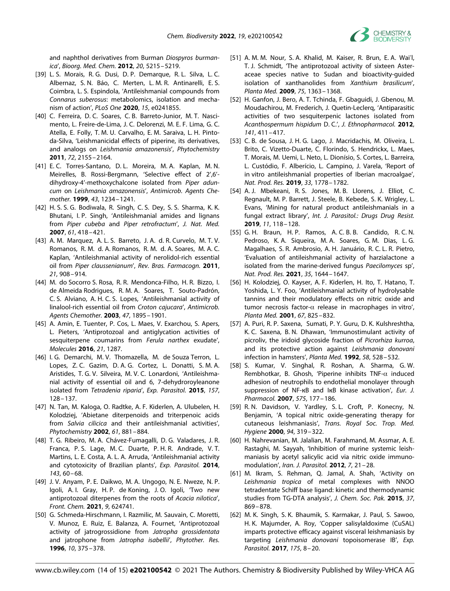

and naphthol derivatives from Burman *Diospyros burmanica*', *Bioorg. Med. Chem.* **2012**, *20*, 5215–5219.

- [39] L. S. Morais, R. G. Dusi, D. P. Demarque, R. L. Silva, L. C. Albernaz, S. N. Báo, C. Merten, L. M. R. Antinarelli, E. S. Coimbra, L. S. Espindola, 'Antileishmanial compounds from *Connarus suberosus*: metabolomics, isolation and mechanism of action', *PLoS One* **2020**, *15*, e0241855.
- [40] C. Ferreira, D. C. Soares, C. B. Barreto-Junior, M. T. Nascimento, L. Freire-de-Lima, J. C. Delorenzi, M. E. F. Lima, G. C. Atella, E. Folly, T. M. U. Carvalho, E. M. Saraiva, L. H. Pintoda-Silva, 'Leishmanicidal effects of piperine, its derivatives, and analogs on *Leishmania amazonensis*', *Phytochemistry* **2011**, *72*, 2155–2164.
- [41] E. C. Torres-Santano, D. L. Moreira, M. A. Kaplan, M. N. Meirelles, B. Rossi-Bergmann, 'Selective effect of 2',6' dihydroxy-4'-methoxychalcone isolated from *Piper aduncum* on *Leishmania amazonensis*', *Antimicrob. Agents Chemother.* **1999**, *43*, 1234–1241.
- [42] H. S. S. G. Bodiwala, R. Singh, C. S. Dey, S. S. Sharma, K. K. Bhutani, I. P. Singh, 'Antileishmanial amides and lignans from *Piper cubeba* and *Piper retrofractum*', *J. Nat. Med.* **2007**, *61*, 418–421.
- [43] A. M. Marquez, A. L. S. Barreto, J. A. d. R. Curvelo, M. T. V. Romanos, R. M. d. A. Romanos, R. M. d. A. Soares, M. A. C. Kaplan, 'Antileishmanial activity of nerolidol-rich essential oil from *Piper claussenianum*', *Rev. Bras. Farmacogn.* **2011**, *21*, 908–914.
- [44] M. do Socorro S. Rosa, R. R. Mendonca-Filho, H. R. Bizzo, I. de Almeida Rodrigues, R. M. A. Soares, T. Souto-Padrón, C. S. Alviano, A. H. C. S. Lopes, 'Antileishmanial activity of linalool-rich essential oil from *Croton cajucara*', *Antimicrob. Agents Chemother.* **2003**, *47*, 1895–1901.
- [45] A. Amin, E. Tuenter, P. Cos, L. Maes, V. Exarchou, S. Apers, L. Pieters, 'Antiprotozoal and antiglycation activities of sesquiterpene coumarins from *Ferula narthex* exudate', *Molecules* **2016**, *21*, 1287.
- [46] I. G. Demarchi, M. V. Thomazella, M. de Souza Terron, L. Lopes, Z. C. Gazim, D. A. G. Cortez, L. Donatti, S. M. A. Aristides, T. G. V. Silveira, M. V. C. Lonardoni, 'Antileishmanial activity of essential oil and 6, 7-dehydroroyleanone isolated from *Tetradenia riparia*', *Exp. Parasitol.* **2015**, *157*, 128–137.
- [47] N. Tan, M. Kaloga, O. Radtke, A. F. Kiderlen, A. Ulubelen, H. Kolodziej, 'Abietane diterpenoids and triterpenoic acids from *Salvia cilicica* and their antileishmanial activities', *Phytochemistry* **2002**, *61*, 881–884.
- [48] T. G. Ribeiro, M. A. Chávez-Fumagalli, D. G. Valadares, J. R. Franca, P. S. Lage, M. C. Duarte, P. H. R. Andrade, V. T. Martins, L. E. Costa, A. L. A. Arruda, 'Antileishmanial activity and cytotoxicity of Brazilian plants', *Exp. Parasitol.* **2014**, *143*, 60–68.
- [49] J. V. Anyam, P. E. Daikwo, M. A. Ungogo, N. E. Nweze, N. P. Igoli, A. I. Gray, H. P. de Koning, J. O. Igoli, 'Two new antiprotozoal diterpenes from the roots of *Acacia nilotica*', *Front. Chem.* **2021**, *9*, 624741.
- [50] G. Schmeda-Hirschmann, I. Razmilic, M. Sauvain, C. Moretti, V. Munoz, E. Ruiz, E. Balanza, A. Fournet, 'Antiprotozoal activity of jatrogrossidione from *Jatropha grossidentata* and jatrophone from *Jatropha isabellii*', *Phytother. Res.* **1996**, *10*, 375–378.
- [51] A. M. M. Nour, S. A. Khalid, M. Kaiser, R. Brun, E. A. Wai'l, T. J. Schmidt, 'The antiprotozoal activity of sixteen Asteraceae species native to Sudan and bioactivity-guided isolation of xanthanolides from *Xanthium brasilicum*', *Planta Med.* **2009**, *75*, 1363–1368.
- [52] H. Ganfon, J. Bero, A. T. Tchinda, F. Gbaguidi, J. Gbenou, M. Moudachirou, M. Frederich, J. Quetin-Leclerq, 'Antiparasitic activities of two sesquiterpenic lactones isolated from *Acanthospermum hispidum* D. C.', *J. Ethnopharmacol.* **2012**, *141*, 411–417.
- [53] C. B. de Sousa, J. H. G. Lago, J. Macridachis, M. Oliveira, L. Brito, C. Vizetto-Duarte, C. Florindo, S. Hendrickx, L. Maes, T. Morais, M. Uemi, L. Neto, L. Dionísio, S. Cortes, L. Barreira, L. Custódio, F. Alberício, L. Campino, J. Varela, 'Report of in vitro antileishmanial properties of Iberian macroalgae', *Nat. Prod. Res.* **2019**, *33*, 1778–1782.
- [54] A. J. Mbekeani, R. S. Jones, M. B. Llorens, J. Elliot, C. Regnault, M. P. Barrett, J. Steele, B. Kebede, S. K. Wrigley, L. Evans, 'Mining for natural product antileishmanials in a fungal extract library', *Int. J. Parasitol.: Drugs Drug Resist.* **2019**, *11*, 118–128.
- [55] G. H. Braun, H. P. Ramos, A. C. B. B. Candido, R. C. N. Pedroso, K. A. Siqueira, M. A. Soares, G. M. Dias, L. G. Magalhaes, S. R. Ambrosio, A. H. Januário, R. C. L. R. Pietro, 'Evaluation of antileishmanial activity of harzialactone a isolated from the marine-derived fungus *Paecilomyces* sp', *Nat. Prod. Res.* **2021**, *35*, 1644–1647.
- [56] H. Kolodziej, O. Kayser, A. F. Kiderlen, H. Ito, T. Hatano, T. Yoshida, L. Y. Foo, 'Antileishmanial activity of hydrolysable tannins and their modulatory effects on nitric oxide and tumor necrosis factor-α release in macrophages in vitro', *Planta Med.* **2001**, *67*, 825–832.
- [57] A. Puri, R. P. Saxena, Sumati, P. Y. Guru, D. K. Kulshreshtha, K. C. Saxena, B. N. Dhawan, 'Immunostimulant activity of picroliv, the iridoid glycoside fraction of *Picrorhiza kurroa*, and its protective action against *Leishmania donovani* infection in hamsters', *Planta Med.* **1992**, *58*, 528–532.
- [58] S. Kumar, V. Singhal, R. Roshan, A. Sharma, G. W. Rembhotkar, B. Ghosh, 'Piperine inhibits TNF-α induced adhesion of neutrophils to endothelial monolayer through suppression of NF-кB and IкB kinase activation', *Eur. J. Pharmacol.* **2007**, *575*, 177–186.
- [59] R. N. Davidson, V. Yardley, S. L. Croft, P. Konecny, N. Benjamin, 'A topical nitric oxide-generating therapy for cutaneous leishmaniasis', *Trans. Royal Soc. Trop. Med. Hygiene* **2000**, *94*, 319–322.
- [60] H. Nahrevanian, M. Jalalian, M. Farahmand, M. Assmar, A. E. Rastaghi, M. Sayyah, 'Inhibition of murine systemic leishmaniasis by acetyl salicylic acid via nitric oxide immunomodulation', *Iran. J. Parasitol.* **2012**, *7*, 21–28.
- [61] M. Ikram, S. Rehman, Q. Jamal, A. Shah, 'Activity on *Leishmania tropica* of metal complexes with NNOO tetradentate Schiff base ligand: kinetic and thermodynamic studies from TG-DTA analysis', *J. Chem. Soc. Pak.* **2015**, *37*, 869–878.
- [62] M. K. Singh, S. K. Bhaumik, S. Karmakar, J. Paul, S. Sawoo, H. K. Majumder, A. Roy, 'Copper salisylaldoxime (CuSAL) imparts protective efficacy against visceral leishmaniasis by targeting *Leishmania donovani* topoisomerase IB', *Exp. Parasitol.* **2017**, *175*, 8–20.